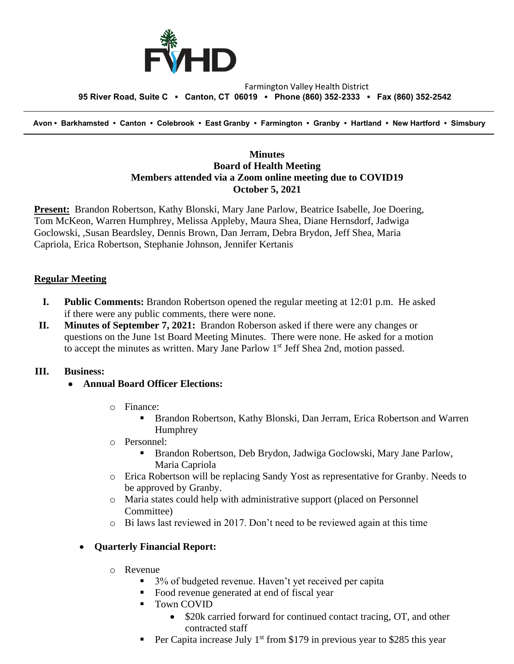

#### Farmington Valley Health District  **95 River Road, Suite C ▪ Canton, CT 06019 ▪ Phone (860) 352-2333 ▪ Fax (860) 352-2542**

 **Avon • Barkhamsted • Canton • Colebrook • East Granby • Farmington • Granby • Hartland • New Hartford • Simsbury**

### **Minutes Board of Health Meeting Members attended via a Zoom online meeting due to COVID19 October 5, 2021**

**Present:** Brandon Robertson, Kathy Blonski, Mary Jane Parlow, Beatrice Isabelle, Joe Doering, Tom McKeon, Warren Humphrey, Melissa Appleby, Maura Shea, Diane Hernsdorf, Jadwiga Goclowski, ,Susan Beardsley, Dennis Brown, Dan Jerram, Debra Brydon, Jeff Shea, Maria Capriola, Erica Robertson, Stephanie Johnson, Jennifer Kertanis

### **Regular Meeting**

- **I. Public Comments:** Brandon Robertson opened the regular meeting at 12:01 p.m. He asked if there were any public comments, there were none.
- **II. Minutes of September 7, 2021:** Brandon Roberson asked if there were any changes or questions on the June 1st Board Meeting Minutes. There were none. He asked for a motion to accept the minutes as written. Mary Jane Parlow  $1<sup>st</sup>$  Jeff Shea 2nd, motion passed.

#### **III. Business:**

- **Annual Board Officer Elections:**
	- o Finance:
		- Brandon Robertson, Kathy Blonski, Dan Jerram, Erica Robertson and Warren Humphrey
	- o Personnel:
		- Brandon Robertson, Deb Brydon, Jadwiga Goclowski, Mary Jane Parlow, Maria Capriola
	- o Erica Robertson will be replacing Sandy Yost as representative for Granby. Needs to be approved by Granby.
	- o Maria states could help with administrative support (placed on Personnel Committee)
	- $\circ$  Bi laws last reviewed in 2017. Don't need to be reviewed again at this time

#### • **Quarterly Financial Report:**

- o Revenue
	- 3% of budgeted revenue. Haven't yet received per capita
	- Food revenue generated at end of fiscal year
	- Town COVID
		- \$20k carried forward for continued contact tracing, OT, and other contracted staff
	- Per Capita increase July  $1<sup>st</sup>$  from \$179 in previous year to \$285 this year